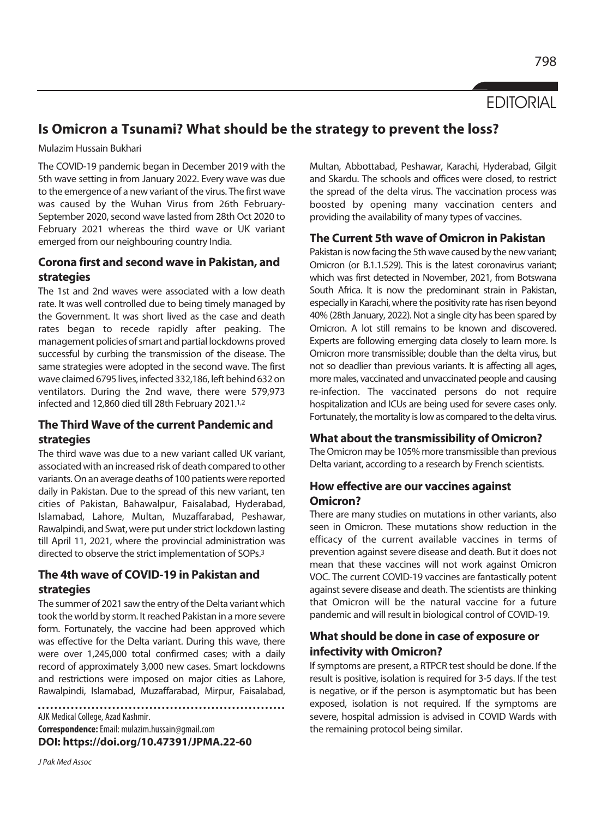# **FDITORIAL**

# **Is Omicron a Tsunami? What should be the strategy to prevent the loss?**

Mulazim Hussain Bukhari

The COVID-19 pandemic began in December 2019 with the 5th wave setting in from January 2022. Every wave was due to the emergence of a new variant of the virus. The first wave was caused by the Wuhan Virus from 26th February-September 2020, second wave lasted from 28th Oct 2020 to February 2021 whereas the third wave or UK variant emerged from our neighbouring country India.

#### **Corona first and second wave in Pakistan, and strategies**

The 1st and 2nd waves were associated with a low death rate. It was well controlled due to being timely managed by the Government. It was short lived as the case and death rates began to recede rapidly after peaking. The management policies of smart and partial lockdowns proved successful by curbing the transmission of the disease. The same strategies were adopted in the second wave. The first wave claimed 6795 lives, infected 332,186, left behind 632 on ventilators. During the 2nd wave, there were 579,973 infected and 12,860 died till 28th February 2021.1,2

## **The Third Wave of the current Pandemic and strategies**

The third wave was due to a new variant called UK variant, associated with an increased risk of death compared to other variants. On an average deaths of 100 patients were reported daily in Pakistan. Due to the spread of this new variant, ten cities of Pakistan, Bahawalpur, Faisalabad, Hyderabad, Islamabad, Lahore, Multan, Muzaffarabad, Peshawar, Rawalpindi, and Swat, were put under strict lockdown lasting till April 11, 2021, where the provincial administration was directed to observe the strict implementation of SOPs.3

#### **The 4th wave of COVID-19 in Pakistan and strategies**

The summer of 2021 saw the entry of the Delta variant which took the world by storm. It reached Pakistan in a more severe form. Fortunately, the vaccine had been approved which was effective for the Delta variant. During this wave, there were over 1,245,000 total confirmed cases; with a daily record of approximately 3,000 new cases. Smart lockdowns and restrictions were imposed on major cities as Lahore, Rawalpindi, Islamabad, Muzaffarabad, Mirpur, Faisalabad,

AJK Medical College, Azad Kashmir. **Correspondence:** Email: mulazim.hussain@gmail.com **DOI: https://doi.org/10.47391/JPMA.22-60** 

J Pak Med Assoc

Multan, Abbottabad, Peshawar, Karachi, Hyderabad, Gilgit and Skardu. The schools and offices were closed, to restrict the spread of the delta virus. The vaccination process was boosted by opening many vaccination centers and providing the availability of many types of vaccines.

#### **The Current 5th wave of Omicron in Pakistan**

Pakistan is now facing the 5th wave caused by the new variant; Omicron (or B.1.1.529). This is the latest coronavirus variant; which was first detected in November, 2021, from Botswana South Africa. It is now the predominant strain in Pakistan, especially in Karachi, where the positivity rate has risen beyond 40% (28th January, 2022). Not a single city has been spared by Omicron. A lot still remains to be known and discovered. Experts are following emerging data closely to learn more. Is Omicron more transmissible; double than the delta virus, but not so deadlier than previous variants. It is affecting all ages, more males, vaccinated and unvaccinated people and causing re-infection. The vaccinated persons do not require hospitalization and ICUs are being used for severe cases only. Fortunately, the mortality is low as compared to the delta virus.

#### **What about the transmissibility of Omicron?**

The Omicron may be 105% more transmissible than previous Delta variant, according to a research by French scientists.

## **How effective are our vaccines against Omicron?**

There are many studies on mutations in other variants, also seen in Omicron. These mutations show reduction in the efficacy of the current available vaccines in terms of prevention against severe disease and death. But it does not mean that these vaccines will not work against Omicron VOC. The current COVID-19 vaccines are fantastically potent against severe disease and death. The scientists are thinking that Omicron will be the natural vaccine for a future pandemic and will result in biological control of COVID-19.

## **What should be done in case of exposure or infectivity with Omicron?**

If symptoms are present, a RTPCR test should be done. If the result is positive, isolation is required for 3-5 days. If the test is negative, or if the person is asymptomatic but has been exposed, isolation is not required. If the symptoms are severe, hospital admission is advised in COVID Wards with the remaining protocol being similar.